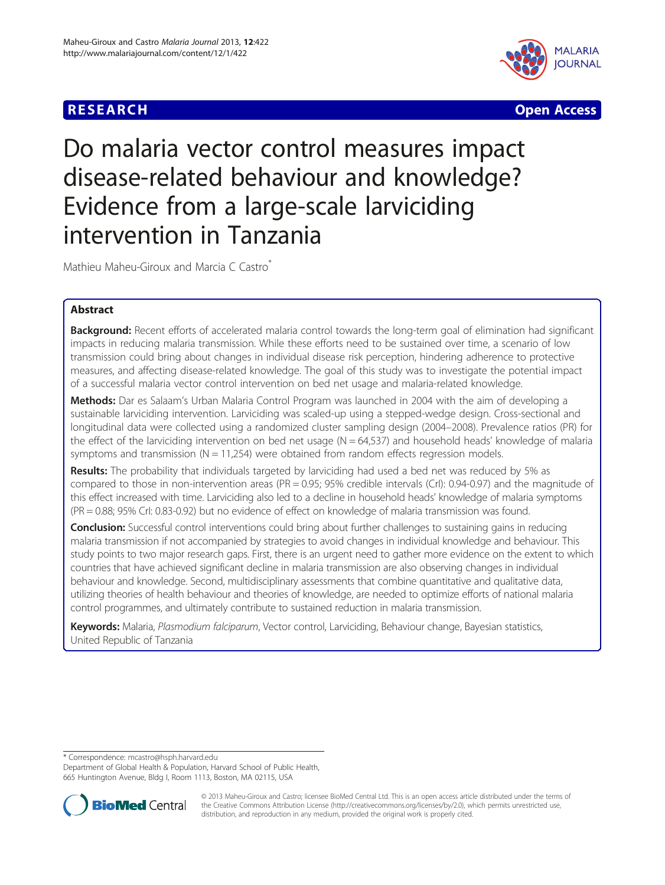# **RESEARCH CHINESE ARCH CHINESE ARCH**



# Do malaria vector control measures impact disease-related behaviour and knowledge? Evidence from a large-scale larviciding intervention in Tanzania

Mathieu Maheu-Giroux and Marcia C Castro\*

# Abstract

**Background:** Recent efforts of accelerated malaria control towards the long-term goal of elimination had significant impacts in reducing malaria transmission. While these efforts need to be sustained over time, a scenario of low transmission could bring about changes in individual disease risk perception, hindering adherence to protective measures, and affecting disease-related knowledge. The goal of this study was to investigate the potential impact of a successful malaria vector control intervention on bed net usage and malaria-related knowledge.

Methods: Dar es Salaam's Urban Malaria Control Program was launched in 2004 with the aim of developing a sustainable larviciding intervention. Larviciding was scaled-up using a stepped-wedge design. Cross-sectional and longitudinal data were collected using a randomized cluster sampling design (2004–2008). Prevalence ratios (PR) for the effect of the larviciding intervention on bed net usage  $(N = 64,537)$  and household heads' knowledge of malaria symptoms and transmission  $(N = 11,254)$  were obtained from random effects regression models.

Results: The probability that individuals targeted by larviciding had used a bed net was reduced by 5% as compared to those in non-intervention areas (PR = 0.95; 95% credible intervals (CrI): 0.94-0.97) and the magnitude of this effect increased with time. Larviciding also led to a decline in household heads' knowledge of malaria symptoms (PR = 0.88; 95% CrI: 0.83-0.92) but no evidence of effect on knowledge of malaria transmission was found.

Conclusion: Successful control interventions could bring about further challenges to sustaining gains in reducing malaria transmission if not accompanied by strategies to avoid changes in individual knowledge and behaviour. This study points to two major research gaps. First, there is an urgent need to gather more evidence on the extent to which countries that have achieved significant decline in malaria transmission are also observing changes in individual behaviour and knowledge. Second, multidisciplinary assessments that combine quantitative and qualitative data, utilizing theories of health behaviour and theories of knowledge, are needed to optimize efforts of national malaria control programmes, and ultimately contribute to sustained reduction in malaria transmission.

Keywords: Malaria, Plasmodium falciparum, Vector control, Larviciding, Behaviour change, Bayesian statistics, United Republic of Tanzania

\* Correspondence: [mcastro@hsph.harvard.edu](mailto:mcastro@hsph.harvard.edu)

Department of Global Health & Population, Harvard School of Public Health, 665 Huntington Avenue, Bldg I, Room 1113, Boston, MA 02115, USA



© 2013 Maheu-Giroux and Castro; licensee BioMed Central Ltd. This is an open access article distributed under the terms of the Creative Commons Attribution License [\(http://creativecommons.org/licenses/by/2.0\)](http://creativecommons.org/licenses/by/2.0), which permits unrestricted use, distribution, and reproduction in any medium, provided the original work is properly cited.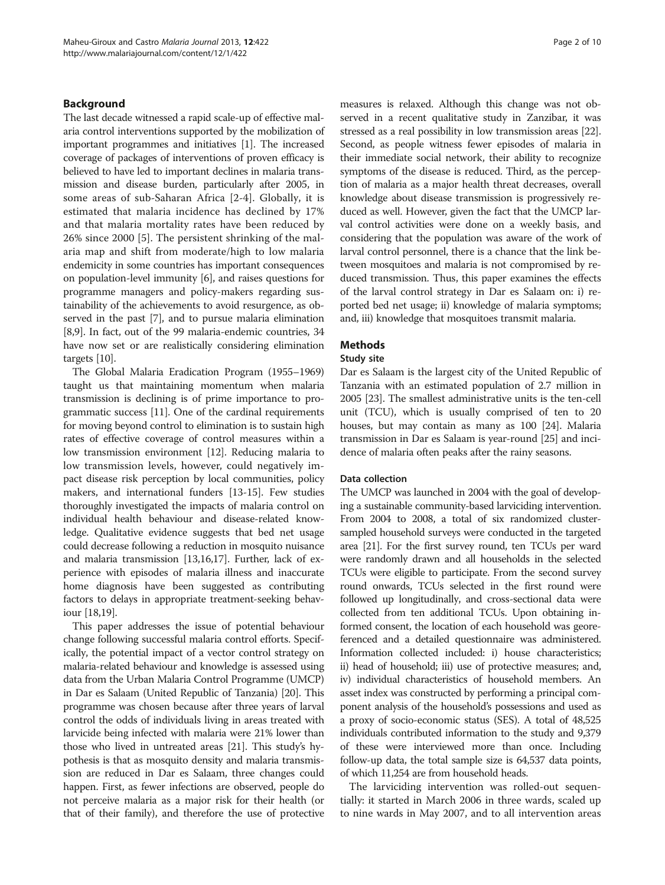# Background

The last decade witnessed a rapid scale-up of effective malaria control interventions supported by the mobilization of important programmes and initiatives [\[1\]](#page-8-0). The increased coverage of packages of interventions of proven efficacy is believed to have led to important declines in malaria transmission and disease burden, particularly after 2005, in some areas of sub-Saharan Africa [\[2](#page-8-0)-[4\]](#page-8-0). Globally, it is estimated that malaria incidence has declined by 17% and that malaria mortality rates have been reduced by 26% since 2000 [\[5](#page-8-0)]. The persistent shrinking of the malaria map and shift from moderate/high to low malaria endemicity in some countries has important consequences on population-level immunity [[6](#page-8-0)], and raises questions for programme managers and policy-makers regarding sustainability of the achievements to avoid resurgence, as observed in the past [\[7\]](#page-9-0), and to pursue malaria elimination [[8,9](#page-9-0)]. In fact, out of the 99 malaria-endemic countries, 34 have now set or are realistically considering elimination targets [\[10\]](#page-9-0).

The Global Malaria Eradication Program (1955–1969) taught us that maintaining momentum when malaria transmission is declining is of prime importance to programmatic success [[11](#page-9-0)]. One of the cardinal requirements for moving beyond control to elimination is to sustain high rates of effective coverage of control measures within a low transmission environment [\[12\]](#page-9-0). Reducing malaria to low transmission levels, however, could negatively impact disease risk perception by local communities, policy makers, and international funders [\[13-15\]](#page-9-0). Few studies thoroughly investigated the impacts of malaria control on individual health behaviour and disease-related knowledge. Qualitative evidence suggests that bed net usage could decrease following a reduction in mosquito nuisance and malaria transmission [[13,16,17\]](#page-9-0). Further, lack of experience with episodes of malaria illness and inaccurate home diagnosis have been suggested as contributing factors to delays in appropriate treatment-seeking behaviour [[18,19](#page-9-0)].

This paper addresses the issue of potential behaviour change following successful malaria control efforts. Specifically, the potential impact of a vector control strategy on malaria-related behaviour and knowledge is assessed using data from the Urban Malaria Control Programme (UMCP) in Dar es Salaam (United Republic of Tanzania) [\[20\]](#page-9-0). This programme was chosen because after three years of larval control the odds of individuals living in areas treated with larvicide being infected with malaria were 21% lower than those who lived in untreated areas [[21](#page-9-0)]. This study's hypothesis is that as mosquito density and malaria transmission are reduced in Dar es Salaam, three changes could happen. First, as fewer infections are observed, people do not perceive malaria as a major risk for their health (or that of their family), and therefore the use of protective

measures is relaxed. Although this change was not observed in a recent qualitative study in Zanzibar, it was stressed as a real possibility in low transmission areas [[22](#page-9-0)]. Second, as people witness fewer episodes of malaria in their immediate social network, their ability to recognize symptoms of the disease is reduced. Third, as the perception of malaria as a major health threat decreases, overall knowledge about disease transmission is progressively reduced as well. However, given the fact that the UMCP larval control activities were done on a weekly basis, and considering that the population was aware of the work of larval control personnel, there is a chance that the link between mosquitoes and malaria is not compromised by reduced transmission. Thus, this paper examines the effects of the larval control strategy in Dar es Salaam on: i) reported bed net usage; ii) knowledge of malaria symptoms; and, iii) knowledge that mosquitoes transmit malaria.

# Methods

#### Study site

Dar es Salaam is the largest city of the United Republic of Tanzania with an estimated population of 2.7 million in 2005 [\[23\]](#page-9-0). The smallest administrative units is the ten-cell unit (TCU), which is usually comprised of ten to 20 houses, but may contain as many as 100 [\[24](#page-9-0)]. Malaria transmission in Dar es Salaam is year-round [\[25](#page-9-0)] and incidence of malaria often peaks after the rainy seasons.

### Data collection

The UMCP was launched in 2004 with the goal of developing a sustainable community-based larviciding intervention. From 2004 to 2008, a total of six randomized clustersampled household surveys were conducted in the targeted area [\[21](#page-9-0)]. For the first survey round, ten TCUs per ward were randomly drawn and all households in the selected TCUs were eligible to participate. From the second survey round onwards, TCUs selected in the first round were followed up longitudinally, and cross-sectional data were collected from ten additional TCUs. Upon obtaining informed consent, the location of each household was georeferenced and a detailed questionnaire was administered. Information collected included: i) house characteristics; ii) head of household; iii) use of protective measures; and, iv) individual characteristics of household members. An asset index was constructed by performing a principal component analysis of the household's possessions and used as a proxy of socio-economic status (SES). A total of 48,525 individuals contributed information to the study and 9,379 of these were interviewed more than once. Including follow-up data, the total sample size is 64,537 data points, of which 11,254 are from household heads.

The larviciding intervention was rolled-out sequentially: it started in March 2006 in three wards, scaled up to nine wards in May 2007, and to all intervention areas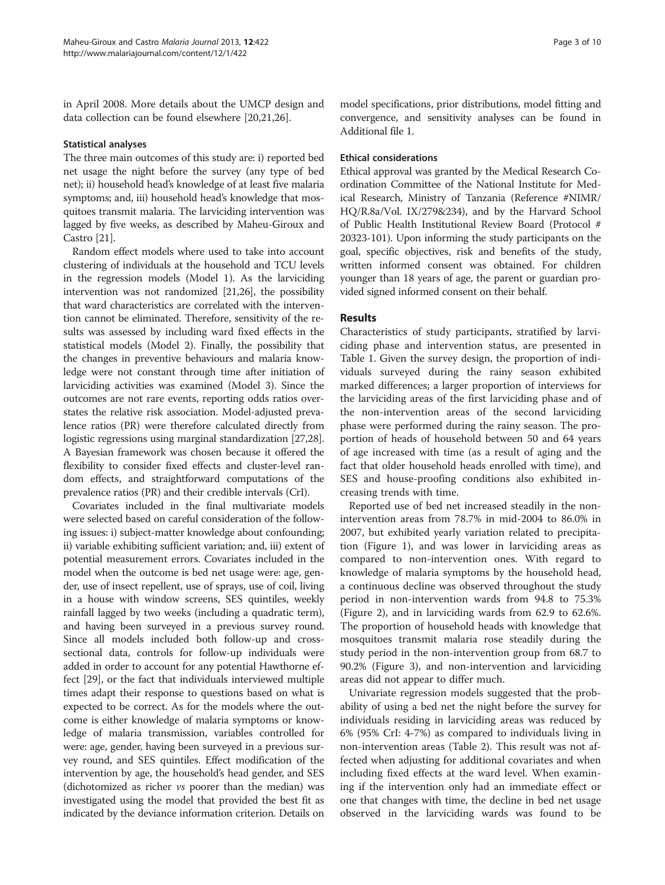in April 2008. More details about the UMCP design and data collection can be found elsewhere [[20,21,26\]](#page-9-0).

#### Statistical analyses

The three main outcomes of this study are: i) reported bed net usage the night before the survey (any type of bed net); ii) household head's knowledge of at least five malaria symptoms; and, iii) household head's knowledge that mosquitoes transmit malaria. The larviciding intervention was lagged by five weeks, as described by Maheu-Giroux and Castro [[21](#page-9-0)].

Random effect models where used to take into account clustering of individuals at the household and TCU levels in the regression models (Model 1). As the larviciding intervention was not randomized [[21,26\]](#page-9-0), the possibility that ward characteristics are correlated with the intervention cannot be eliminated. Therefore, sensitivity of the results was assessed by including ward fixed effects in the statistical models (Model 2). Finally, the possibility that the changes in preventive behaviours and malaria knowledge were not constant through time after initiation of larviciding activities was examined (Model 3). Since the outcomes are not rare events, reporting odds ratios overstates the relative risk association. Model-adjusted prevalence ratios (PR) were therefore calculated directly from logistic regressions using marginal standardization [\[27,28](#page-9-0)]. A Bayesian framework was chosen because it offered the flexibility to consider fixed effects and cluster-level random effects, and straightforward computations of the prevalence ratios (PR) and their credible intervals (CrI).

Covariates included in the final multivariate models were selected based on careful consideration of the following issues: i) subject-matter knowledge about confounding; ii) variable exhibiting sufficient variation; and, iii) extent of potential measurement errors. Covariates included in the model when the outcome is bed net usage were: age, gender, use of insect repellent, use of sprays, use of coil, living in a house with window screens, SES quintiles, weekly rainfall lagged by two weeks (including a quadratic term), and having been surveyed in a previous survey round. Since all models included both follow-up and crosssectional data, controls for follow-up individuals were added in order to account for any potential Hawthorne effect [[29](#page-9-0)], or the fact that individuals interviewed multiple times adapt their response to questions based on what is expected to be correct. As for the models where the outcome is either knowledge of malaria symptoms or knowledge of malaria transmission, variables controlled for were: age, gender, having been surveyed in a previous survey round, and SES quintiles. Effect modification of the intervention by age, the household's head gender, and SES (dichotomized as richer vs poorer than the median) was investigated using the model that provided the best fit as indicated by the deviance information criterion. Details on

model specifications, prior distributions, model fitting and convergence, and sensitivity analyses can be found in Additional file [1](#page-8-0).

# Ethical considerations

Ethical approval was granted by the Medical Research Coordination Committee of the National Institute for Medical Research, Ministry of Tanzania (Reference #NIMR/ HQ/R.8a/Vol. IX/279&234), and by the Harvard School of Public Health Institutional Review Board (Protocol # 20323-101). Upon informing the study participants on the goal, specific objectives, risk and benefits of the study, written informed consent was obtained. For children younger than 18 years of age, the parent or guardian provided signed informed consent on their behalf.

#### Results

Characteristics of study participants, stratified by larviciding phase and intervention status, are presented in Table [1.](#page-3-0) Given the survey design, the proportion of individuals surveyed during the rainy season exhibited marked differences; a larger proportion of interviews for the larviciding areas of the first larviciding phase and of the non-intervention areas of the second larviciding phase were performed during the rainy season. The proportion of heads of household between 50 and 64 years of age increased with time (as a result of aging and the fact that older household heads enrolled with time), and SES and house-proofing conditions also exhibited increasing trends with time.

Reported use of bed net increased steadily in the nonintervention areas from 78.7% in mid-2004 to 86.0% in 2007, but exhibited yearly variation related to precipitation (Figure [1](#page-4-0)), and was lower in larviciding areas as compared to non-intervention ones. With regard to knowledge of malaria symptoms by the household head, a continuous decline was observed throughout the study period in non-intervention wards from 94.8 to 75.3% (Figure [2](#page-4-0)), and in larviciding wards from 62.9 to 62.6%. The proportion of household heads with knowledge that mosquitoes transmit malaria rose steadily during the study period in the non-intervention group from 68.7 to 90.2% (Figure [3\)](#page-5-0), and non-intervention and larviciding areas did not appear to differ much.

Univariate regression models suggested that the probability of using a bed net the night before the survey for individuals residing in larviciding areas was reduced by 6% (95% CrI: 4-7%) as compared to individuals living in non-intervention areas (Table [2\)](#page-5-0). This result was not affected when adjusting for additional covariates and when including fixed effects at the ward level. When examining if the intervention only had an immediate effect or one that changes with time, the decline in bed net usage observed in the larviciding wards was found to be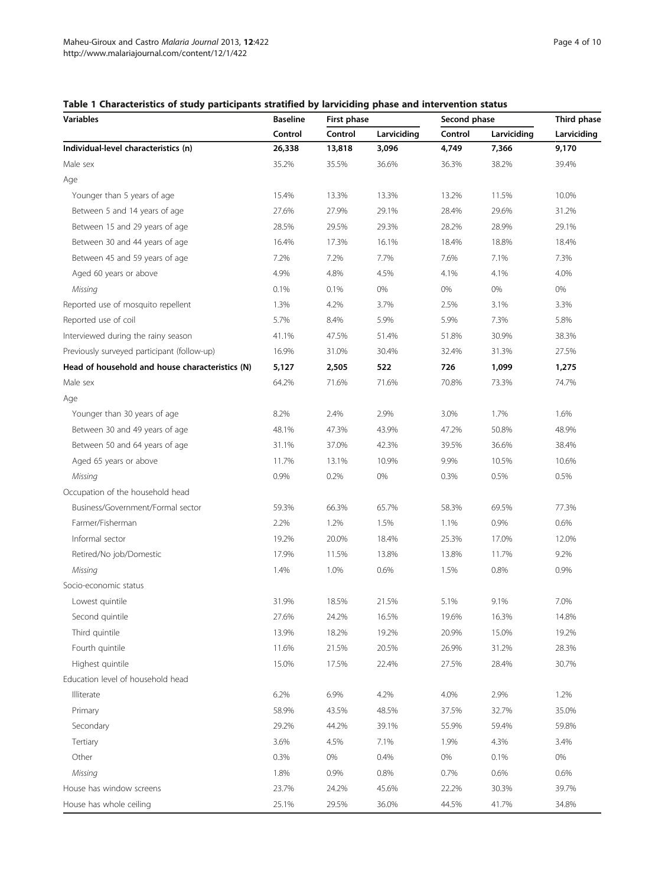# <span id="page-3-0"></span>Table 1 Characteristics of study participants stratified by larviciding phase and intervention status

| <b>Variables</b>                                | <b>Baseline</b> | First phase |             | Second phase | Third phase |             |  |
|-------------------------------------------------|-----------------|-------------|-------------|--------------|-------------|-------------|--|
|                                                 | Control         | Control     | Larviciding | Control      | Larviciding | Larviciding |  |
| Individual-level characteristics (n)            | 26,338          | 13,818      | 3,096       | 4,749        | 7,366       | 9,170       |  |
| Male sex                                        | 35.2%           | 35.5%       | 36.6%       | 36.3%        | 38.2%       | 39.4%       |  |
| Age                                             |                 |             |             |              |             |             |  |
| Younger than 5 years of age                     | 15.4%           | 13.3%       | 13.3%       | 13.2%        | 11.5%       | 10.0%       |  |
| Between 5 and 14 years of age                   | 27.6%           | 27.9%       | 29.1%       | 28.4%        | 29.6%       | 31.2%       |  |
| Between 15 and 29 years of age                  | 28.5%           | 29.5%       | 29.3%       | 28.2%        | 28.9%       | 29.1%       |  |
| Between 30 and 44 years of age                  | 16.4%           | 17.3%       | 16.1%       | 18.4%        | 18.8%       | 18.4%       |  |
| Between 45 and 59 years of age                  | 7.2%            | 7.2%        | 7.7%        | 7.6%         | 7.1%        | 7.3%        |  |
| Aged 60 years or above                          | 4.9%            | 4.8%        | 4.5%        | 4.1%         | 4.1%        | 4.0%        |  |
| Missing                                         | 0.1%            | 0.1%        | 0%          | 0%           | 0%          | $0\%$       |  |
| Reported use of mosquito repellent              | 1.3%            | 4.2%        | 3.7%        | 2.5%         | 3.1%        | 3.3%        |  |
| Reported use of coil                            | 5.7%            | 8.4%        | 5.9%        | 5.9%         | 7.3%        | 5.8%        |  |
| Interviewed during the rainy season             | 41.1%           | 47.5%       | 51.4%       | 51.8%        | 30.9%       | 38.3%       |  |
| Previously surveyed participant (follow-up)     | 16.9%           | 31.0%       | 30.4%       | 32.4%        | 31.3%       | 27.5%       |  |
| Head of household and house characteristics (N) | 5,127           | 2,505       | 522         | 726          | 1,099       | 1,275       |  |
| Male sex                                        | 64.2%           | 71.6%       | 71.6%       | 70.8%        | 73.3%       | 74.7%       |  |
| Age                                             |                 |             |             |              |             |             |  |
| Younger than 30 years of age                    | 8.2%            | 2.4%        | 2.9%        | 3.0%         | 1.7%        | 1.6%        |  |
| Between 30 and 49 years of age                  | 48.1%           | 47.3%       | 43.9%       | 47.2%        | 50.8%       | 48.9%       |  |
| Between 50 and 64 years of age                  | 31.1%           | 37.0%       | 42.3%       | 39.5%        | 36.6%       | 38.4%       |  |
| Aged 65 years or above                          | 11.7%           | 13.1%       | 10.9%       | 9.9%         | 10.5%       | 10.6%       |  |
| Missing                                         | 0.9%            | 0.2%        | 0%          | 0.3%         | 0.5%        | 0.5%        |  |
| Occupation of the household head                |                 |             |             |              |             |             |  |
| Business/Government/Formal sector               | 59.3%           | 66.3%       | 65.7%       | 58.3%        | 69.5%       | 77.3%       |  |
| Farmer/Fisherman                                | 2.2%            | 1.2%        | 1.5%        | 1.1%         | 0.9%        | 0.6%        |  |
| Informal sector                                 | 19.2%           | 20.0%       | 18.4%       | 25.3%        | 17.0%       | 12.0%       |  |
| Retired/No job/Domestic                         | 17.9%           | 11.5%       | 13.8%       | 13.8%        | 11.7%       | 9.2%        |  |
| Missing                                         | 1.4%            | 1.0%        | 0.6%        | 1.5%         | 0.8%        | 0.9%        |  |
| Socio-economic status                           |                 |             |             |              |             |             |  |
| Lowest quintile                                 | 31.9%           | 18.5%       | 21.5%       | 5.1%         | 9.1%        | 7.0%        |  |
| Second quintile                                 | 27.6%           | 24.2%       | 16.5%       | 19.6%        | 16.3%       | 14.8%       |  |
| Third quintile                                  | 13.9%           | 18.2%       | 19.2%       | 20.9%        | 15.0%       | 19.2%       |  |
| Fourth quintile                                 | 11.6%           | 21.5%       | 20.5%       | 26.9%        | 31.2%       | 28.3%       |  |
| Highest quintile                                | 15.0%           | 17.5%       | 22.4%       | 27.5%        | 28.4%       | 30.7%       |  |
| Education level of household head               |                 |             |             |              |             |             |  |
| Illiterate                                      | 6.2%            | 6.9%        | 4.2%        | 4.0%         | 2.9%        | 1.2%        |  |
| Primary                                         | 58.9%           | 43.5%       | 48.5%       | 37.5%        | 32.7%       | 35.0%       |  |
| Secondary                                       | 29.2%           | 44.2%       | 39.1%       | 55.9%        | 59.4%       | 59.8%       |  |
| Tertiary                                        | 3.6%            | 4.5%        | 7.1%        | 1.9%         | 4.3%        | 3.4%        |  |
| Other                                           | 0.3%            | 0%          | 0.4%        | 0%           | 0.1%        | $0\%$       |  |
| Missing                                         | 1.8%            | 0.9%        | 0.8%        | 0.7%         | 0.6%        | 0.6%        |  |
| House has window screens                        | 23.7%           | 24.2%       | 45.6%       | 22.2%        | 30.3%       | 39.7%       |  |
| House has whole ceiling                         | 25.1%           | 29.5%       | 36.0%       | 44.5%        | 41.7%       | 34.8%       |  |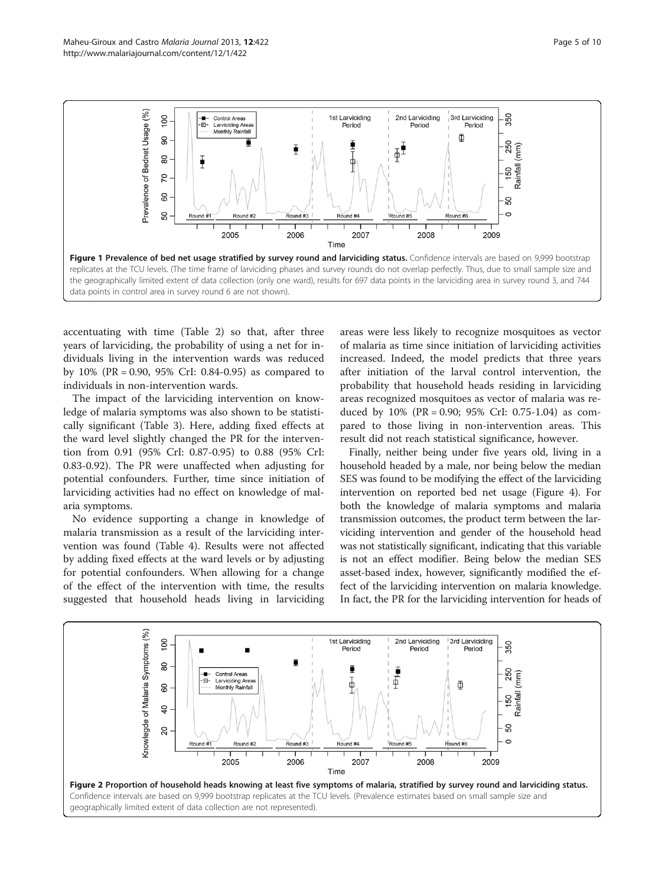<span id="page-4-0"></span>

accentuating with time (Table [2\)](#page-5-0) so that, after three years of larviciding, the probability of using a net for individuals living in the intervention wards was reduced by 10% (PR = 0.90, 95% CrI: 0.84-0.95) as compared to individuals in non-intervention wards.

The impact of the larviciding intervention on knowledge of malaria symptoms was also shown to be statistically significant (Table [3](#page-6-0)). Here, adding fixed effects at the ward level slightly changed the PR for the intervention from 0.91 (95% CrI: 0.87-0.95) to 0.88 (95% CrI: 0.83-0.92). The PR were unaffected when adjusting for potential confounders. Further, time since initiation of larviciding activities had no effect on knowledge of malaria symptoms.

No evidence supporting a change in knowledge of malaria transmission as a result of the larviciding intervention was found (Table [4\)](#page-6-0). Results were not affected by adding fixed effects at the ward levels or by adjusting for potential confounders. When allowing for a change of the effect of the intervention with time, the results suggested that household heads living in larviciding areas were less likely to recognize mosquitoes as vector of malaria as time since initiation of larviciding activities increased. Indeed, the model predicts that three years after initiation of the larval control intervention, the probability that household heads residing in larviciding areas recognized mosquitoes as vector of malaria was reduced by  $10\%$  (PR = 0.90; 95% CrI: 0.75-1.04) as compared to those living in non-intervention areas. This result did not reach statistical significance, however.

Finally, neither being under five years old, living in a household headed by a male, nor being below the median SES was found to be modifying the effect of the larviciding intervention on reported bed net usage (Figure [4\)](#page-7-0). For both the knowledge of malaria symptoms and malaria transmission outcomes, the product term between the larviciding intervention and gender of the household head was not statistically significant, indicating that this variable is not an effect modifier. Being below the median SES asset-based index, however, significantly modified the effect of the larviciding intervention on malaria knowledge. In fact, the PR for the larviciding intervention for heads of

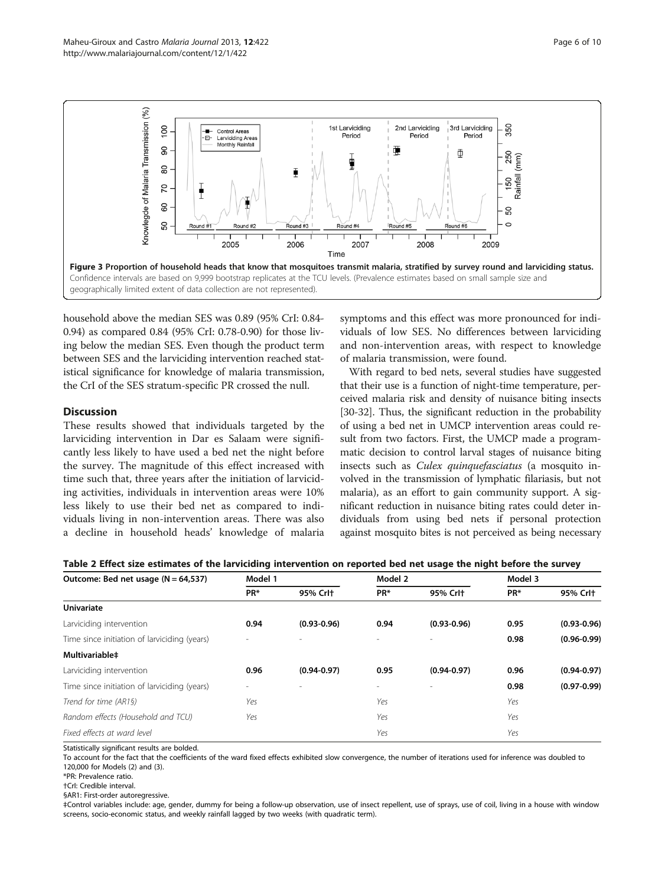<span id="page-5-0"></span>

household above the median SES was 0.89 (95% CrI: 0.84- 0.94) as compared 0.84 (95% CrI: 0.78-0.90) for those living below the median SES. Even though the product term between SES and the larviciding intervention reached statistical significance for knowledge of malaria transmission, the CrI of the SES stratum-specific PR crossed the null.

# **Discussion**

These results showed that individuals targeted by the larviciding intervention in Dar es Salaam were significantly less likely to have used a bed net the night before the survey. The magnitude of this effect increased with time such that, three years after the initiation of larviciding activities, individuals in intervention areas were 10% less likely to use their bed net as compared to individuals living in non-intervention areas. There was also a decline in household heads' knowledge of malaria symptoms and this effect was more pronounced for individuals of low SES. No differences between larviciding and non-intervention areas, with respect to knowledge of malaria transmission, were found.

With regard to bed nets, several studies have suggested that their use is a function of night-time temperature, perceived malaria risk and density of nuisance biting insects [[30](#page-9-0)-[32\]](#page-9-0). Thus, the significant reduction in the probability of using a bed net in UMCP intervention areas could result from two factors. First, the UMCP made a programmatic decision to control larval stages of nuisance biting insects such as Culex quinquefasciatus (a mosquito involved in the transmission of lymphatic filariasis, but not malaria), as an effort to gain community support. A significant reduction in nuisance biting rates could deter individuals from using bed nets if personal protection against mosquito bites is not perceived as being necessary

| Table 2 Effect size estimates of the larviciding intervention on reported bed net usage the night before the survey |  |  |  |  |  |  |  |  |  |  |  |  |  |  |  |  |  |  |  |
|---------------------------------------------------------------------------------------------------------------------|--|--|--|--|--|--|--|--|--|--|--|--|--|--|--|--|--|--|--|
|---------------------------------------------------------------------------------------------------------------------|--|--|--|--|--|--|--|--|--|--|--|--|--|--|--|--|--|--|--|

| Outcome: Bed net usage $(N = 64, 537)$       | Model 1 |                 | Model 2                  |                 | Model 3         |                 |  |
|----------------------------------------------|---------|-----------------|--------------------------|-----------------|-----------------|-----------------|--|
|                                              | PR*     | 95% Crl+        | PR*                      | 95% Crl+        | PR <sup>*</sup> | 95% Crl+        |  |
| <b>Univariate</b>                            |         |                 |                          |                 |                 |                 |  |
| Larviciding intervention                     | 0.94    | $(0.93 - 0.96)$ | 0.94                     | $(0.93 - 0.96)$ | 0.95            | $(0.93 - 0.96)$ |  |
| Time since initiation of larviciding (years) |         |                 |                          |                 | 0.98            | $(0.96 - 0.99)$ |  |
| Multivariable <sup>+</sup>                   |         |                 |                          |                 |                 |                 |  |
| Larviciding intervention                     | 0.96    | $(0.94 - 0.97)$ | 0.95                     | $(0.94 - 0.97)$ | 0.96            | $(0.94 - 0.97)$ |  |
| Time since initiation of larviciding (years) |         |                 | $\overline{\phantom{a}}$ |                 | 0.98            | $(0.97 - 0.99)$ |  |
| Trend for time (AR1§)                        | Yes     |                 | Yes                      |                 | Yes             |                 |  |
| Random effects (Household and TCU)           | Yes     |                 | Yes                      |                 | Yes             |                 |  |
| Fixed effects at ward level                  |         |                 | Yes                      |                 | Yes             |                 |  |

Statistically significant results are bolded.

To account for the fact that the coefficients of the ward fixed effects exhibited slow convergence, the number of iterations used for inference was doubled to 120,000 for Models (2) and (3).

§AR1: First-order autoregressive.

‡Control variables include: age, gender, dummy for being a follow-up observation, use of insect repellent, use of sprays, use of coil, living in a house with window screens, socio-economic status, and weekly rainfall lagged by two weeks (with quadratic term).

<sup>\*</sup>PR: Prevalence ratio.

<sup>†</sup>CrI: Credible interval.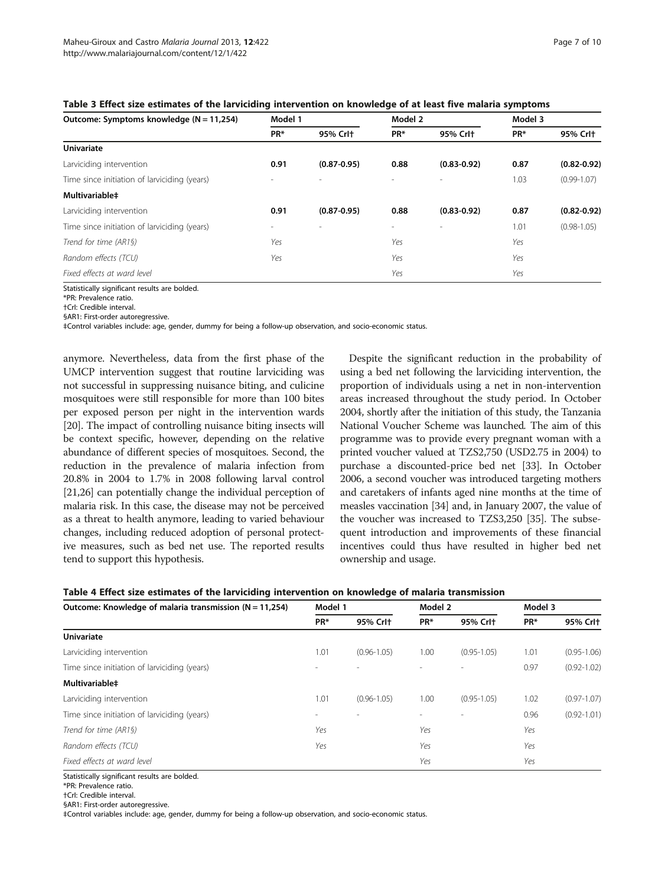<span id="page-6-0"></span>

| Table 3 Effect size estimates of the larviciding intervention on knowledge of at least five malaria symptoms |  |  |  |  |
|--------------------------------------------------------------------------------------------------------------|--|--|--|--|
|--------------------------------------------------------------------------------------------------------------|--|--|--|--|

| Outcome: Symptoms knowledge (N = 11,254)     | Model 1                  |                 | Model 2                  |                 | Model 3         |                 |
|----------------------------------------------|--------------------------|-----------------|--------------------------|-----------------|-----------------|-----------------|
|                                              | PR*                      | 95% Crl+        | PR <sup>*</sup>          | 95% Crl+        | PR <sup>*</sup> | 95% Crl+        |
| <b>Univariate</b>                            |                          |                 |                          |                 |                 |                 |
| Larviciding intervention                     | 0.91                     | $(0.87 - 0.95)$ | 0.88                     | $(0.83 - 0.92)$ | 0.87            | $(0.82 - 0.92)$ |
| Time since initiation of larviciding (years) |                          |                 | $\sim$                   | $\overline{a}$  | 1.03            | $(0.99 - 1.07)$ |
| Multivariable <sup>+</sup>                   |                          |                 |                          |                 |                 |                 |
| Larviciding intervention                     | 0.91                     | $(0.87 - 0.95)$ | 0.88                     | $(0.83 - 0.92)$ | 0.87            | $(0.82 - 0.92)$ |
| Time since initiation of larviciding (years) | $\overline{\phantom{a}}$ |                 | $\overline{\phantom{a}}$ | $\overline{a}$  | 1.01            | $(0.98 - 1.05)$ |
| Trend for time (AR1§)                        | Yes                      |                 | Yes                      |                 | Yes             |                 |
| Random effects (TCU)                         | Yes                      |                 | Yes                      |                 | Yes             |                 |
| Fixed effects at ward level                  |                          |                 | Yes                      |                 | Yes             |                 |

Statistically significant results are bolded.

\*PR: Prevalence ratio.

†CrI: Credible interval.

§AR1: First-order autoregressive.

‡Control variables include: age, gender, dummy for being a follow-up observation, and socio-economic status.

anymore. Nevertheless, data from the first phase of the UMCP intervention suggest that routine larviciding was not successful in suppressing nuisance biting, and culicine mosquitoes were still responsible for more than 100 bites per exposed person per night in the intervention wards [[20](#page-9-0)]. The impact of controlling nuisance biting insects will be context specific, however, depending on the relative abundance of different species of mosquitoes. Second, the reduction in the prevalence of malaria infection from 20.8% in 2004 to 1.7% in 2008 following larval control [[21,26](#page-9-0)] can potentially change the individual perception of malaria risk. In this case, the disease may not be perceived as a threat to health anymore, leading to varied behaviour changes, including reduced adoption of personal protective measures, such as bed net use. The reported results tend to support this hypothesis.

Despite the significant reduction in the probability of using a bed net following the larviciding intervention, the proportion of individuals using a net in non-intervention areas increased throughout the study period. In October 2004, shortly after the initiation of this study, the Tanzania National Voucher Scheme was launched. The aim of this programme was to provide every pregnant woman with a printed voucher valued at TZS2,750 (USD2.75 in 2004) to purchase a discounted-price bed net [[33](#page-9-0)]. In October 2006, a second voucher was introduced targeting mothers and caretakers of infants aged nine months at the time of measles vaccination [\[34](#page-9-0)] and, in January 2007, the value of the voucher was increased to TZS3,250 [[35](#page-9-0)]. The subsequent introduction and improvements of these financial incentives could thus have resulted in higher bed net ownership and usage.

| Table 4 Effect size estimates of the larviciding intervention on knowledge of malaria transmission |  |  |
|----------------------------------------------------------------------------------------------------|--|--|
|                                                                                                    |  |  |

| Outcome: Knowledge of malaria transmission ( $N = 11,254$ ) | Model 1 |                 | Model 2         |                 | Model 3 |                 |
|-------------------------------------------------------------|---------|-----------------|-----------------|-----------------|---------|-----------------|
|                                                             | PR*     | 95% Crl+        | PR <sup>*</sup> | 95% Crl+        | PR*     | 95% Crl+        |
| <b>Univariate</b>                                           |         |                 |                 |                 |         |                 |
| Larviciding intervention                                    | 1.01    | $(0.96 - 1.05)$ | 1.00            | $(0.95 - 1.05)$ | 1.01    | $(0.95 - 1.06)$ |
| Time since initiation of larviciding (years)                |         |                 |                 |                 | 0.97    | $(0.92 - 1.02)$ |
| Multivariable <sup>+</sup>                                  |         |                 |                 |                 |         |                 |
| Larviciding intervention                                    | 1.01    | $(0.96 - 1.05)$ | 1.00            | $(0.95 - 1.05)$ | 1.02    | $(0.97 - 1.07)$ |
| Time since initiation of larviciding (years)                |         |                 |                 |                 | 0.96    | $(0.92 - 1.01)$ |
| Trend for time (AR1§)                                       | Yes     |                 | Yes             |                 | Yes     |                 |
| Random effects (TCU)                                        | Yes     |                 | Yes             |                 | Yes     |                 |
| Fixed effects at ward level                                 |         |                 | Yes             |                 | Yes     |                 |

Statistically significant results are bolded.

\*PR: Prevalence ratio.

†CrI: Credible interval.

§AR1: First-order autoregressive.

‡Control variables include: age, gender, dummy for being a follow-up observation, and socio-economic status.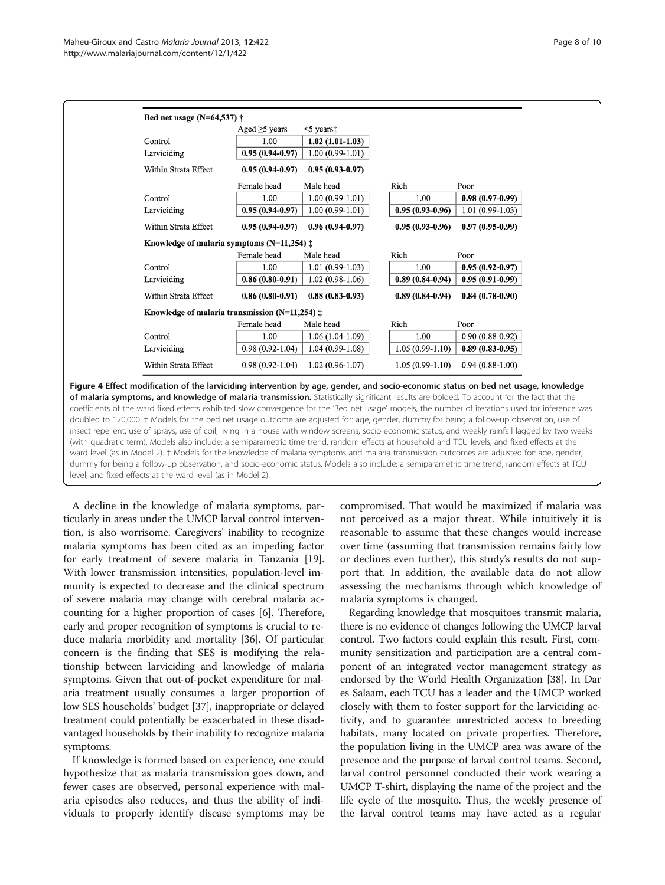<span id="page-7-0"></span>

| Bed net usage (N=64,537) $\dagger$                      |                     |                        |                     |                     |
|---------------------------------------------------------|---------------------|------------------------|---------------------|---------------------|
|                                                         | Aged $\geq$ 5 years | $<$ 5 years $\ddagger$ |                     |                     |
| Control                                                 | 1.00                | $1.02(1.01-1.03)$      |                     |                     |
| Larviciding                                             | $0.95(0.94 - 0.97)$ | $1.00(0.99-1.01)$      |                     |                     |
| Within Strata Effect                                    | $0.95(0.94-0.97)$   | $0.95(0.93-0.97)$      |                     |                     |
|                                                         | Female head         | Male head              | Rich                | Poor                |
| Control                                                 | 1.00                | $1.00(0.99-1.01)$      | 1.00                | $0.98(0.97-0.99)$   |
| Larviciding                                             | $0.95(0.94-0.97)$   | $1.00(0.99-1.01)$      | $0.95(0.93-0.96)$   | $1.01(0.99-1.03)$   |
| Within Strata Effect                                    | $0.95(0.94 - 0.97)$ | $0.96(0.94-0.97)$      | $0.95(0.93-0.96)$   | $0.97(0.95-0.99)$   |
| Knowledge of malaria symptoms $(N=11,254)$ $\ddagger$   |                     |                        |                     |                     |
|                                                         | Female head         | Male head              | Rich                | Poor                |
| Control                                                 | 1.00                | $1.01(0.99-1.03)$      | 1.00                | $0.95(0.92 - 0.97)$ |
| Larviciding                                             | $0.86(0.80-0.91)$   | $1.02(0.98-1.06)$      | $0.89(0.84-0.94)$   | $0.95(0.91-0.99)$   |
| Within Strata Effect                                    | $0.86(0.80-0.91)$   | $0.88(0.83 - 0.93)$    | $0.89(0.84 - 0.94)$ | $0.84(0.78-0.90)$   |
| Knowledge of malaria transmission (N=11,254) $\ddagger$ |                     |                        |                     |                     |
|                                                         | Female head         | Male head              | Rich                | Poor                |
| Control                                                 | 1.00                | $1.06(1.04-1.09)$      | 1.00                | $0.90(0.88-0.92)$   |
| Larviciding                                             | $0.98(0.92-1.04)$   | $1.04(0.99-1.08)$      | $1.05(0.99-1.10)$   | $0.89(0.83-0.95)$   |
| Within Strata Effect                                    | $0.98(0.92-1.04)$   | $1.02(0.96-1.07)$      | $1.05(0.99-1.10)$   | $0.94(0.88-1.00)$   |

Figure 4 Effect modification of the larviciding intervention by age, gender, and socio-economic status on bed net usage, knowledge of malaria symptoms, and knowledge of malaria transmission. Statistically significant results are bolded. To account for the fact that the coefficients of the ward fixed effects exhibited slow convergence for the 'Bed net usage' models, the number of iterations used for inference was doubled to 120,000. † Models for the bed net usage outcome are adjusted for: age, gender, dummy for being a follow-up observation, use of insect repellent, use of sprays, use of coil, living in a house with window screens, socio-economic status, and weekly rainfall lagged by two weeks (with quadratic term). Models also include: a semiparametric time trend, random effects at household and TCU levels, and fixed effects at the ward level (as in Model 2). ‡ Models for the knowledge of malaria symptoms and malaria transmission outcomes are adjusted for: age, gender, dummy for being a follow-up observation, and socio-economic status. Models also include: a semiparametric time trend, random effects at TCU level, and fixed effects at the ward level (as in Model 2).

A decline in the knowledge of malaria symptoms, particularly in areas under the UMCP larval control intervention, is also worrisome. Caregivers' inability to recognize malaria symptoms has been cited as an impeding factor for early treatment of severe malaria in Tanzania [[19](#page-9-0)]. With lower transmission intensities, population-level immunity is expected to decrease and the clinical spectrum of severe malaria may change with cerebral malaria accounting for a higher proportion of cases [\[6\]](#page-8-0). Therefore, early and proper recognition of symptoms is crucial to reduce malaria morbidity and mortality [[36](#page-9-0)]. Of particular concern is the finding that SES is modifying the relationship between larviciding and knowledge of malaria symptoms. Given that out-of-pocket expenditure for malaria treatment usually consumes a larger proportion of low SES households' budget [\[37\]](#page-9-0), inappropriate or delayed treatment could potentially be exacerbated in these disadvantaged households by their inability to recognize malaria symptoms.

If knowledge is formed based on experience, one could hypothesize that as malaria transmission goes down, and fewer cases are observed, personal experience with malaria episodes also reduces, and thus the ability of individuals to properly identify disease symptoms may be compromised. That would be maximized if malaria was not perceived as a major threat. While intuitively it is reasonable to assume that these changes would increase over time (assuming that transmission remains fairly low or declines even further), this study's results do not support that. In addition, the available data do not allow assessing the mechanisms through which knowledge of malaria symptoms is changed.

Regarding knowledge that mosquitoes transmit malaria, there is no evidence of changes following the UMCP larval control. Two factors could explain this result. First, community sensitization and participation are a central component of an integrated vector management strategy as endorsed by the World Health Organization [\[38\]](#page-9-0). In Dar es Salaam, each TCU has a leader and the UMCP worked closely with them to foster support for the larviciding activity, and to guarantee unrestricted access to breeding habitats, many located on private properties. Therefore, the population living in the UMCP area was aware of the presence and the purpose of larval control teams. Second, larval control personnel conducted their work wearing a UMCP T-shirt, displaying the name of the project and the life cycle of the mosquito. Thus, the weekly presence of the larval control teams may have acted as a regular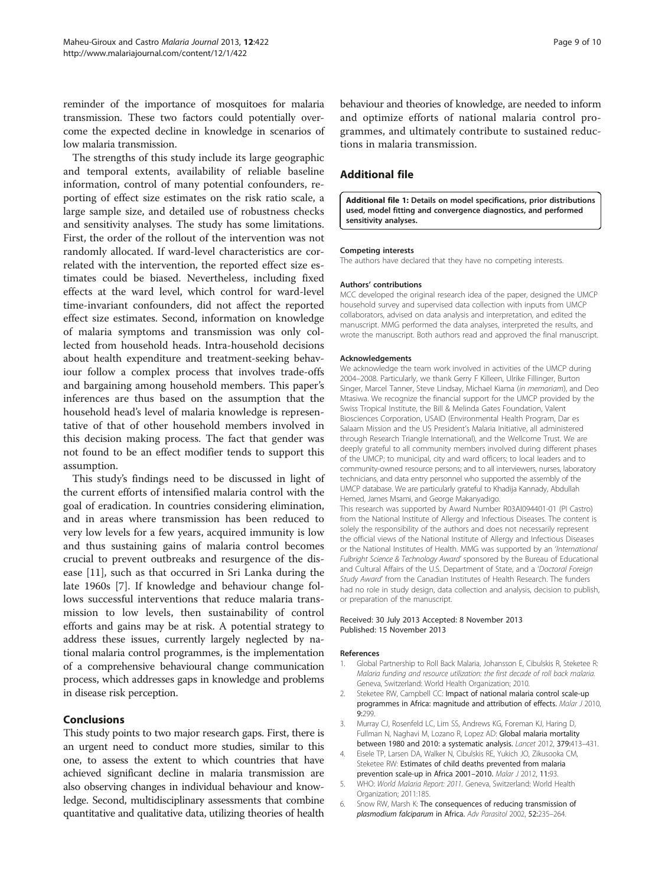<span id="page-8-0"></span>reminder of the importance of mosquitoes for malaria transmission. These two factors could potentially overcome the expected decline in knowledge in scenarios of low malaria transmission.

The strengths of this study include its large geographic and temporal extents, availability of reliable baseline information, control of many potential confounders, reporting of effect size estimates on the risk ratio scale, a large sample size, and detailed use of robustness checks and sensitivity analyses. The study has some limitations. First, the order of the rollout of the intervention was not randomly allocated. If ward-level characteristics are correlated with the intervention, the reported effect size estimates could be biased. Nevertheless, including fixed effects at the ward level, which control for ward-level time-invariant confounders, did not affect the reported effect size estimates. Second, information on knowledge of malaria symptoms and transmission was only collected from household heads. Intra-household decisions about health expenditure and treatment-seeking behaviour follow a complex process that involves trade-offs and bargaining among household members. This paper's inferences are thus based on the assumption that the household head's level of malaria knowledge is representative of that of other household members involved in this decision making process. The fact that gender was not found to be an effect modifier tends to support this assumption.

This study's findings need to be discussed in light of the current efforts of intensified malaria control with the goal of eradication. In countries considering elimination, and in areas where transmission has been reduced to very low levels for a few years, acquired immunity is low and thus sustaining gains of malaria control becomes crucial to prevent outbreaks and resurgence of the disease [\[11](#page-9-0)], such as that occurred in Sri Lanka during the late 1960s [\[7](#page-9-0)]. If knowledge and behaviour change follows successful interventions that reduce malaria transmission to low levels, then sustainability of control efforts and gains may be at risk. A potential strategy to address these issues, currently largely neglected by national malaria control programmes, is the implementation of a comprehensive behavioural change communication process, which addresses gaps in knowledge and problems in disease risk perception.

# Conclusions

This study points to two major research gaps. First, there is an urgent need to conduct more studies, similar to this one, to assess the extent to which countries that have achieved significant decline in malaria transmission are also observing changes in individual behaviour and knowledge. Second, multidisciplinary assessments that combine quantitative and qualitative data, utilizing theories of health behaviour and theories of knowledge, are needed to inform and optimize efforts of national malaria control programmes, and ultimately contribute to sustained reductions in malaria transmission.

# Additional file

[Additional file 1:](http://www.biomedcentral.com/content/supplementary/1475-2875-12-422-S1.doc) Details on model specifications, prior distributions used, model fitting and convergence diagnostics, and performed sensitivity analyses.

#### Competing interests

The authors have declared that they have no competing interests.

#### Authors' contributions

MCC developed the original research idea of the paper, designed the UMCP household survey and supervised data collection with inputs from UMCP collaborators, advised on data analysis and interpretation, and edited the manuscript. MMG performed the data analyses, interpreted the results, and wrote the manuscript. Both authors read and approved the final manuscript.

#### Acknowledgements

We acknowledge the team work involved in activities of the UMCP during 2004–2008. Particularly, we thank Gerry F Killeen, Ulrike Fillinger, Burton Singer, Marcel Tanner, Steve Lindsay, Michael Kiama (in memoriam), and Deo Mtasiwa. We recognize the financial support for the UMCP provided by the Swiss Tropical Institute, the Bill & Melinda Gates Foundation, Valent Biosciences Corporation, USAID (Environmental Health Program, Dar es Salaam Mission and the US President's Malaria Initiative, all administered through Research Triangle International), and the Wellcome Trust. We are deeply grateful to all community members involved during different phases of the UMCP; to municipal, city and ward officers; to local leaders and to community-owned resource persons; and to all interviewers, nurses, laboratory technicians, and data entry personnel who supported the assembly of the UMCP database. We are particularly grateful to Khadija Kannady, Abdullah Hemed, James Msami, and George Makanyadigo. This research was supported by Award Number R03AI094401-01 (PI Castro) from the National Institute of Allergy and Infectious Diseases. The content is

solely the responsibility of the authors and does not necessarily represent the official views of the National Institute of Allergy and Infectious Diseases or the National Institutes of Health. MMG was supported by an 'International Fulbright Science & Technology Award' sponsored by the Bureau of Educational and Cultural Affairs of the U.S. Department of State, and a 'Doctoral Foreign Study Award' from the Canadian Institutes of Health Research. The funders had no role in study design, data collection and analysis, decision to publish, or preparation of the manuscript.

#### Received: 30 July 2013 Accepted: 8 November 2013 Published: 15 November 2013

#### References

- 1. Global Partnership to Roll Back Malaria, Johansson E, Cibulskis R, Steketee R: Malaria funding and resource utilization: the first decade of roll back malaria. Geneva, Switzerland: World Health Organization; 2010.
- 2. Steketee RW, Campbell CC: Impact of national malaria control scale-up programmes in Africa: magnitude and attribution of effects. Malar J 2010, 9:299.
- 3. Murray CJ, Rosenfeld LC, Lim SS, Andrews KG, Foreman KJ, Haring D, Fullman N, Naghavi M, Lozano R, Lopez AD: Global malaria mortality between 1980 and 2010: a systematic analysis. Lancet 2012, 379:413–431.
- 4. Eisele TP, Larsen DA, Walker N, Cibulskis RE, Yukich JO, Zikusooka CM, Steketee RW: Estimates of child deaths prevented from malaria prevention scale-up in Africa 2001-2010. Malar J 2012, 11:93.
- 5. WHO: World Malaria Report: 2011. Geneva, Switzerland: World Health Organization; 2011:185.
- 6. Snow RW, Marsh K: The consequences of reducing transmission of plasmodium falciparum in Africa. Adv Parasitol 2002, 52:235–264.